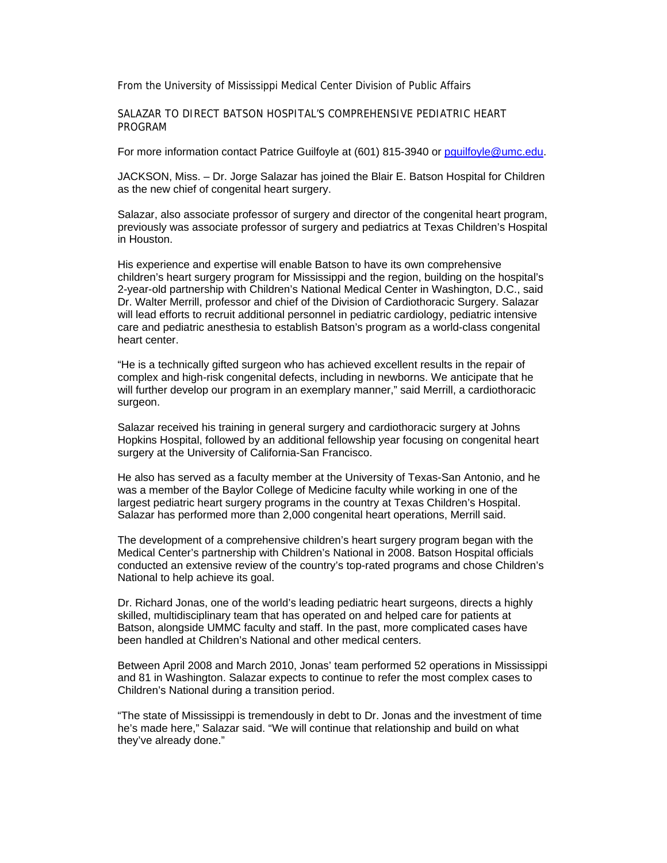From the University of Mississippi Medical Center Division of Public Affairs

SALAZAR TO DIRECT BATSON HOSPITAL'S COMPREHENSIVE PEDIATRIC HEART PROGRAM

For more information contact Patrice Guilfoyle at (601) 815-3940 or pguilfoyle@umc.edu.

JACKSON, Miss. – Dr. Jorge Salazar has joined the Blair E. Batson Hospital for Children as the new chief of congenital heart surgery.

Salazar, also associate professor of surgery and director of the congenital heart program, previously was associate professor of surgery and pediatrics at Texas Children's Hospital in Houston.

His experience and expertise will enable Batson to have its own comprehensive children's heart surgery program for Mississippi and the region, building on the hospital's 2-year-old partnership with Children's National Medical Center in Washington, D.C., said Dr. Walter Merrill, professor and chief of the Division of Cardiothoracic Surgery. Salazar will lead efforts to recruit additional personnel in pediatric cardiology, pediatric intensive care and pediatric anesthesia to establish Batson's program as a world-class congenital heart center.

"He is a technically gifted surgeon who has achieved excellent results in the repair of complex and high-risk congenital defects, including in newborns. We anticipate that he will further develop our program in an exemplary manner," said Merrill, a cardiothoracic surgeon.

Salazar received his training in general surgery and cardiothoracic surgery at Johns Hopkins Hospital, followed by an additional fellowship year focusing on congenital heart surgery at the University of California-San Francisco.

He also has served as a faculty member at the University of Texas-San Antonio, and he was a member of the Baylor College of Medicine faculty while working in one of the largest pediatric heart surgery programs in the country at Texas Children's Hospital. Salazar has performed more than 2,000 congenital heart operations, Merrill said.

The development of a comprehensive children's heart surgery program began with the Medical Center's partnership with Children's National in 2008. Batson Hospital officials conducted an extensive review of the country's top-rated programs and chose Children's National to help achieve its goal.

Dr. Richard Jonas, one of the world's leading pediatric heart surgeons, directs a highly skilled, multidisciplinary team that has operated on and helped care for patients at Batson, alongside UMMC faculty and staff. In the past, more complicated cases have been handled at Children's National and other medical centers.

Between April 2008 and March 2010, Jonas' team performed 52 operations in Mississippi and 81 in Washington. Salazar expects to continue to refer the most complex cases to Children's National during a transition period.

"The state of Mississippi is tremendously in debt to Dr. Jonas and the investment of time he's made here," Salazar said. "We will continue that relationship and build on what they've already done."